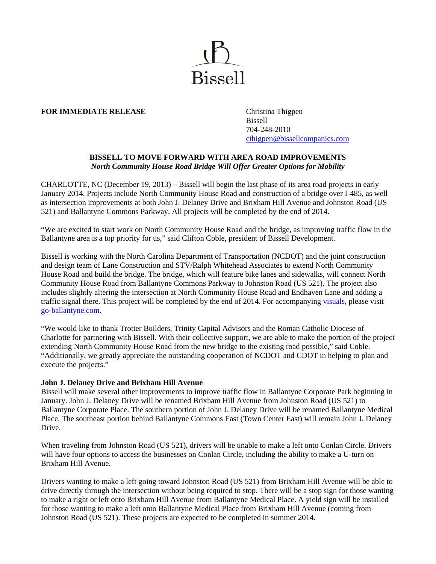

# **FOR IMMEDIATE RELEASE** Christina Thigpen

 Bissell 704-248-2010 cthigpen@bissellcompanies.com

# **BISSELL TO MOVE FORWARD WITH AREA ROAD IMPROVEMENTS**  *North Community House Road Bridge Will Offer Greater Options for Mobility*

CHARLOTTE, NC (December 19, 2013) – Bissell will begin the last phase of its area road projects in early January 2014. Projects include North Community House Road and construction of a bridge over I-485, as well as intersection improvements at both John J. Delaney Drive and Brixham Hill Avenue and Johnston Road (US 521) and Ballantyne Commons Parkway. All projects will be completed by the end of 2014.

"We are excited to start work on North Community House Road and the bridge, as improving traffic flow in the Ballantyne area is a top priority for us," said Clifton Coble, president of Bissell Development.

Bissell is working with the North Carolina Department of Transportation (NCDOT) and the joint construction and design team of Lane Construction and STV/Ralph Whitehead Associates to extend North Community House Road and build the bridge. The bridge, which will feature bike lanes and sidewalks, will connect North Community House Road from Ballantyne Commons Parkway to Johnston Road (US 521). The project also includes slightly altering the intersection at North Community House Road and Endhaven Lane and adding a traffic signal there. This project will be completed by the end of 2014. For accompanying visuals, please visit go-ballantyne.com.

"We would like to thank Trotter Builders, Trinity Capital Advisors and the Roman Catholic Diocese of Charlotte for partnering with Bissell. With their collective support, we are able to make the portion of the project extending North Community House Road from the new bridge to the existing road possible," said Coble. "Additionally, we greatly appreciate the outstanding cooperation of NCDOT and CDOT in helping to plan and execute the projects."

### **John J. Delaney Drive and Brixham Hill Avenue**

Bissell will make several other improvements to improve traffic flow in Ballantyne Corporate Park beginning in January. John J. Delaney Drive will be renamed Brixham Hill Avenue from Johnston Road (US 521) to Ballantyne Corporate Place. The southern portion of John J. Delaney Drive will be renamed Ballantyne Medical Place. The southeast portion behind Ballantyne Commons East (Town Center East) will remain John J. Delaney Drive.

When traveling from Johnston Road (US 521), drivers will be unable to make a left onto Conlan Circle. Drivers will have four options to access the businesses on Conlan Circle, including the ability to make a U-turn on Brixham Hill Avenue.

Drivers wanting to make a left going toward Johnston Road (US 521) from Brixham Hill Avenue will be able to drive directly through the intersection without being required to stop. There will be a stop sign for those wanting to make a right or left onto Brixham Hill Avenue from Ballantyne Medical Place. A yield sign will be installed for those wanting to make a left onto Ballantyne Medical Place from Brixham Hill Avenue (coming from Johnston Road (US 521). These projects are expected to be completed in summer 2014.